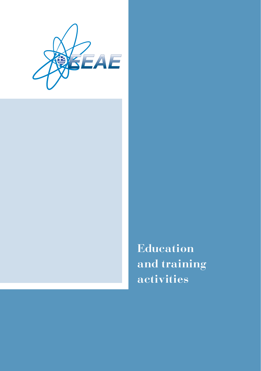

**Education and training activities**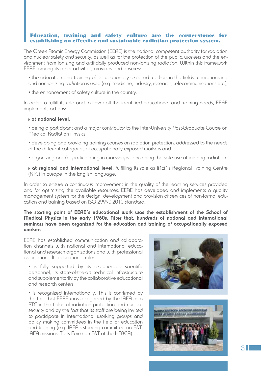### Education, training and safety culture are the cornerstones for establishing an effective and sustainable radiation protection system.

The Greek Atomic Energy Commission (EEAE) is the national competent authority for radiation and nuclear safety and security, as well as for the protection of the public, workers and the environment from ionizing and artificially produced non-ionizing radiation. Within this framework EEAE, among its other activities, provides and ensures:

- the education and training of occupationally exposed workers in the fields where ionizing and non-ionizing radiation is used (e.g. medicine, industry, research, telecommunications etc.);
- the enhancement of safety culture in the country.

In order to fulfill its role and to cover all the identified educational and training needs, EEAE implements actions:

#### **at national level,**

- being a participant and a major contributor to the Inter-University Post-Graduate Course on Medical Radiation Physics;
- developing and providing training courses on radiation protection, addressed to the needs of the different categories of occupationally exposed workers and
- organizing and/or participating in workshops concerning the safe use of ionizing radiation.
- **at regional and international level,** fulfilling its role as IAEA's Regional Training Centre (RTC) in Europe in the English language.

In order to ensure a continuous improvement in the quality of the learning services provided and for optimizing the available resources, EEAE has developed and implements a quality management system for the design, development and provision of services of non-formal education and training based on ISO 29990:2010 standard.

### **The starting point of EEAE's educational work was the establishment of the School of Medical Physics in the early 1960s. After that, hundreds of national and international seminars have been organized for the education and training of occupationally exposed workers.**

EEAE has established communication and collaboration channels with national and international educational and research organizations and with professional associations. Its educational role:

• is fully supported by its experienced scientific personnel, its state-of-the-art technical infrastructure and supplementarily by the collaborative educational and research centers;

• is recognized internationally. This is confirmed by the fact that EEAE was recognized by the IAEA as a RTC in the fields of radiation protection and nuclear security and by the fact that its staff are being invited to participate in international working groups and policy making committees in the field of education and training (e.g. IAEA's steering committee on E&T, IAEA missions, Task Force on E&T of the HERCA).



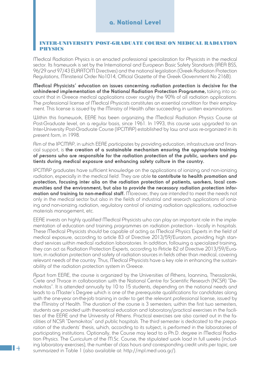#### INTER-UNIVERSITY POST-GRADUATE COURSE ON MEDICAL RADIATION **PHYSICS**

Medical Radiation Physics is an enacted professional specialization for Physicists in the medical sector. Its framework is set by the International and European Basic Safety Standards (IAEA BSS, 96/29 and 97/43 EURATOM Directives) and the national legislation (Greek Radiation Protection Regulations, Ministerial Order No1014, Official Gazette of the Greek Government No 216B).

**Medical Physicists' education on issues concerning radiation protection is decisive for the unhindered implementation of the National Radiation Protection Programme,** taking into account that in Greece medical applications cover roughly the 90% of all radiation applications. The professional license of Medical Physicists constitutes an essential condition for their employment. This license is issued by the Ministry of Health after succeeding in written examinations.

Within this framework, EEAE has been organizing the Medical Radiation Physics Course at Post-Graduate level, on a regular basis, since 1961. In 1993, this course was upgraded to an Inter-University Post-Graduate Course (IPCMRP) established by law and was re-organized in its present form, in 1998.

Aim of the IPCMRP, in which EEAE participates by providing education, infrastructure and financial support, is **the creation of a sustainable mechanism ensuring the appropriate training of persons who are responsible for the radiation protection of the public, workers and patients during medical exposure and enhancing safety culture in the country.** 

IPCMRP graduates have sufficient knowledge on the applications of ionizing and non-ionizing radiation, especially in the medical field. They are able **to contribute to health promotion and protection, focusing inter alia on the radiation protection of patients, workers, local communities and the environment, but also to provide the necessary radiation protection information and training to non-medical staff.** Moreover, they are intended to meet the needs not only in the medical sector but also in the fields of industrial and research applications of ionizing and non-ionizing radiation, regulatory control of ionizing radiation applications, radioactive materials management, etc.

EEAE invests on highly qualified Medical Physicists who can play an important role in the implementation of education and training programmes on radiation protection - locally in hospitals. These Medical Physicists should be capable of acting as Medical Physics Experts in the field of medical exposure, according to article 83 of Directive 2013/59/Euratom, providing high standard services within medical radiation laboratories. In addition, following a specialized training, they can act as Radiation Protection Experts, according to Article 82 of Directive 2013/59/Euratom, in radiation protection and safety of radiation sources in fields other than medical, covering relevant needs of the country. Thus, Medical Physicists have a key role in enhancing the sustainability of the radiation protection system in Greece.

Apart from EEAE, the course is organized by the Universities of Athens, Ioannina, Thessaloniki, Crete and Thrace in collaboration with the National Centre for Scientific Research (NCSR) "Demokritos". It is attended annually by 10 to 15 students, depending on the national needs and leads to a Master's Degree which is one of the prerequisite qualifications for candidates along with the one-year on-the-job training in order to get the relevant professional license, issued by the Ministry of Health. The duration of the course is 3 semesters; within the first two semesters, students are provided with theoretical education and laboratory/practical exercises in the facilities of the EEAE and the University of Athens. Practical exercises are also carried out in the facilities of NCSR "Demokritos" and public hospitals. The third semester is dedicated to the preparation of the students' thesis, which, according to its subject, is performed in the laboratories of participating institutions. Optionally, the Course may lead to a Ph.D. degree in Medical Radiation Physics. The Curriculum of the M.Sc. Course, the stipulated work load in full weeks (including laboratory exercises), the number of class hours and corresponding credit units per topic, are summarized in Table 1 (also available at: http://mpl.med.uoa.gr/).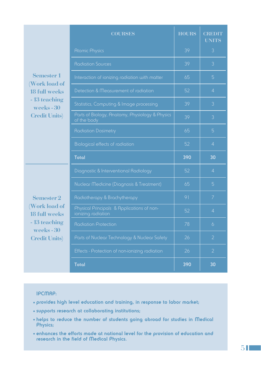|                                      | <b>COURSES</b>                                                   | <b>HOURS</b> | <b>CREDIT</b><br><b>UNITS</b> |
|--------------------------------------|------------------------------------------------------------------|--------------|-------------------------------|
| S<br>$\frac{1}{2}$<br>$\big)$        | <b>Atomic Physics</b>                                            | 39           | 3                             |
|                                      | <b>Radiation Sources</b>                                         | 39           | 3                             |
|                                      | Interaction of ionizing radiation with matter                    | 65           | 5                             |
|                                      | Detection & Measurement of radiation                             | 52           | $\overline{4}$                |
|                                      | Statistics, Computing & Image processing                         | 39           | 3                             |
|                                      | Parts of Biology, Anatomy, Physiology & Physics<br>of the body   | 39           | 3                             |
|                                      | <b>Radiation Dosimetry</b>                                       | 65           | 5                             |
|                                      | Biological effects of radiation                                  | 52           | $\overline{4}$                |
|                                      | <b>Total</b>                                                     | 390          | 30                            |
| $\mathbf{s}$<br>$\bar{S}$<br>$\big)$ | Diagnostic & Interventional Radiology                            | 52           | $\overline{4}$                |
|                                      | Nuclear Medicine (Diagnosis & Treatment)                         | 65           | 5                             |
|                                      | Radiotherapy & Brachytherapy                                     | 91           | $\overline{7}$                |
|                                      | Physical Principals & Applications of non-<br>ionizing radiation | 52           | $\overline{4}$                |
|                                      | <b>Radiation Protection</b>                                      | 78           | 6                             |
|                                      | Parts of Nuclear Technology & Nuclear Safety                     | 26           | $\overline{2}$                |
|                                      | Effects - Protection of non-ionizing radiation                   | 26           | $\overline{2}$                |
|                                      | <b>Total</b>                                                     | 390          | 30                            |

**Semester 1 (Work load of 18 full week - 13 teaching weeks - 30 Credit Units)**

**Semester 2 (Work load of 18 full week - 13 teaching weeks - 30 Credit Units)**

## **IPCMRP:**

- **• provides high level education and training, in response to labor market;**
- **• supports research at collaborating institutions;**
- **• helps to reduce the number of students going abroad for studies in Medical Physics;**
- **• enhances the efforts made at national level for the provision of education and research in the field of Medical Physics.**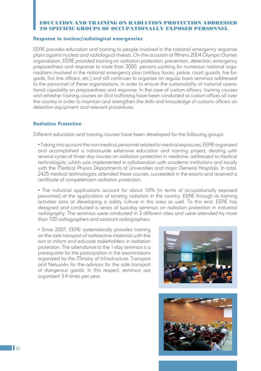#### EDUCATION AND TRAINING ON RADIATION PROTECTION ADDRESSED TO SPECIFIC GROUPS OF OCCUPATIONALLY EXPOSED PERSONNEL

#### Response to nuclear/radiological emergencies

EEAE provides education and training to people involved in the national emergency response plans against nuclear and radiological threats. On the occasion of Athens 2004 Olympic Games organization, EEAE provided training on radiation protection, prevention, detection, emergency preparedness and response to more than 3000 persons working for numerous national organizations involved in the national emergency plan (military forces, police, coast guards, fire brigade, first line officers, etc.) and still continues to organize on regular basis seminars addressed to the personnel of these organizations, in order to ensure the sustainability of national operational capability on preparedness and response. In the case of custom officers, training courses and refresher training courses on illicit trafficking have been conducted at custom offices all over the country in order to maintain and strengthen the skills and knowledge of customs officers on detection equipment and relevant procedures.

#### Radiation Protection

Different education and training courses have been developed for the following groups:

• Taking into account the non-medical personnel related to medical exposures, EEAE organized and accomplished a nationwide extensive education and training project, dealing with several cycles of three day courses on radiation protection in medicine, addressed to medical technologists, which was implemented in collaboration with academic institutions and locally with the Medical Physics Departments of Universities and major General Hospitals. In total, 2425 medical technologists attended these courses, succeeded in the exams and received a certificate of competencein radiation protection.

• The industrial applications account for about 10% (in terms of occupationally exposed personnel) of the applications of ionizing radiation in the country. EEAE through its training activities aims at developing a safety culture in this area as well. To this end, EEAE has designed and conducted a series of two-day seminars on radiation protection in industrial radiography. The seminars were conducted in 3 different cities and were attended by more than 100 radiographers and assistant radiographers.

• Since 2007, EEAE systematically provides training on the safe transport of radioactive materials with the aim to inform and educate stakeholders in radiation protection. The attendance to the 1-day seminars is a prerequisite for the participation in the examinations organized by the Ministry of Infrastructure, Transport and Networks for the advisors for the safe transport of dangerous goods. In this respect, seminars are organized 3-4 times per year.



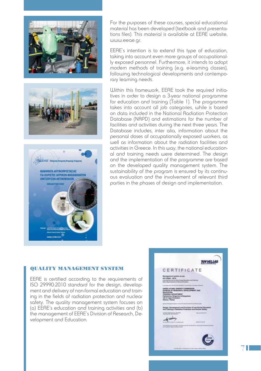





For the purposes of these courses, special educational material has been developed (textbook and presentations files). This material is available at EEAE website, www.eeae.gr.

EEAE's intention is to extend this type of education, taking into account even more groups of occupationally exposed personnel. Furthermore, it intends to adopt modern methods of training (e.g. e-learning classes), following technological developments and contemporary learning needs.

Within this framework, EEAE took the required initiatives in order to design a 3-year national programme for education and training (Table 1). The programme takes into account all job categories, while is based on data included in the National Radiation Protection Database (NRPD) and estimations for the number of facilities and activities during the next three years. The Database includes, inter alia, information about the personal doses of occupationally exposed workers, as well as information about the radiation facilities and activities in Greece. In this way, the national educational and training needs were determined. The design and the implementation of the programme are based on the developed quality management system. The sustainability of the program is ensured by its continuous evaluation and the involvement of relevant third parties in the phases of design and implementation.

#### QUALITY MANAGEMENT SYSTEM

EEAE is certified according to the requirements of ISO 29990:2010 standard for the design, development and delivery of non-formal education and training in the fields of radiation protection and nuclear safety. The quality management system focuses on (a) EEAE's education and training activities and (b) the management of EEAE's Division of Research, Development and Education.

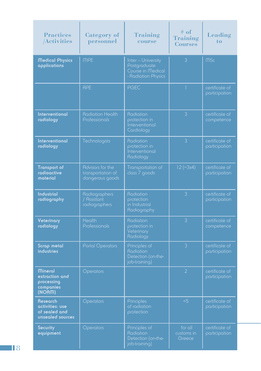| <b>Practices</b><br><b>Activities</b>                                   | Category of<br>personnel                                 | <b>Training</b><br>course                                                      | $#$ of<br><b>Training</b><br><b>Courses</b> | Leading<br>to                   |
|-------------------------------------------------------------------------|----------------------------------------------------------|--------------------------------------------------------------------------------|---------------------------------------------|---------------------------------|
| <b>Medical Physics</b><br>applications                                  | <b>MPE</b>                                               | Inter - University<br>Postgraduate<br>Course in Medical<br>- Radiation Physics | 3                                           | ms <sub>c</sub>                 |
|                                                                         | RPE                                                      | PGEC                                                                           | 1                                           | certificate of<br>participation |
| <b>Interventional</b><br>radiology                                      | <b>Radiation Health</b><br>Professionals                 | Radiation<br>protection in<br>Interventional<br>Cardiology                     | $\mathfrak{Z}$                              | certificate of<br>competence    |
| <b>Interventional</b><br>radiology                                      | Technologists                                            | Radiation<br>protection in<br>Interventional<br>Radiology                      | 3                                           | certificate of<br>participation |
| <b>Transport of</b><br>radioactive<br>material                          | Advisors for the<br>transportation of<br>dangerous goods | Transportation of<br>class 7 goods                                             | $12 (=3x4)$                                 | certificate of<br>participation |
| <b>Industrial</b><br>radiography                                        | Radiographers<br>/ Assistant<br>radiographers            | Radiation<br>protection<br>in Industrial<br>Radiography                        | 3                                           | certificate of<br>participation |
| Veterinary<br>radiology                                                 | <b>Health</b><br>Professionals                           | Radiation<br>protection in<br>Veterinary<br>Radiology                          | 3                                           | certificate of<br>competence    |
| <b>Scrap metal</b><br><b>industries</b>                                 | <b>Portal Operators</b>                                  | Principles of<br>Radiation<br>Detection (on-the-<br>job-training)              | 3                                           | certificate of<br>participation |
| Mineral<br>extraction and<br>processing<br>companies<br>(NORM)          | Operators                                                |                                                                                | 2                                           | certificate of<br>participation |
| <b>Research</b><br>activities: use<br>of sealed and<br>unsealed sources | Operators                                                | Principles<br>of radiation<br>protection                                       | < 5                                         | certificate of<br>participation |
| <b>Security</b><br>equipment                                            | Operators                                                | Principles of<br>Radiation<br>Detection (on-the-<br>job-training)              | for all<br>customs in<br>Greece             | certificate of<br>participation |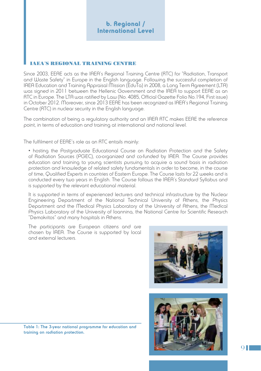# b. Regional / International Level

### IAEA**'**S REGIONAL TRAINING CENTRE

Since 2003, EEAE acts as the IAEA's Regional Training Centre (RTC) for "Radiation, Transport and Waste Safety" in Europe in the English language. Following the successful completion of IAEA Education and Training Appraisal Mission (EduTa) in 2008, a Long Term Agreement (LTA) was signed in 2011 between the Hellenic Government and the IAEA to support EEAE as an RTC in Europe. The LTA was ratified by Law (No. 4085, Official Gazette Folio No.194, First issue) in October 2012. Moreover, since 2013 EEAE has been recognized as IAEA's Regional Training Centre (RTC) in nuclear security in the English language.

The combination of being a regulatory authority and an IAEA RTC makes EEAE the reference point, in terms of education and training at international and national level.

The fulfilment of EEAE's role as an RTC entails mainly:

• hosting the Postgraduate Educational Course on Radiation Protection and the Safety of Radiation Sources (PGEC), co-organized and co-funded by IAEA. The Course provides education and training to young scientists pursuing to acquire a sound basis in radiation protection and knowledge of related safety fundamentals in order to become, in the course of time, Qualified Experts in countries of Eastern Europe. The Course lasts for 22 weeks and is conducted every two years in English. The Course follows the IAEA's Standard Syllabus and is supported by the relevant educational material.

It is supported in terms of experienced lecturers and technical infrastructure by the Nuclear Engineering Department of the National Technical University of Athens, the Physics Department and the Medical Physics Laboratory of the University of Athens, the Medical Physics Laboratory of the University of Ioannina, the National Centre for Scientific Research "Demokritos" and many hospitals in Athens.

The participants are European citizens and are chosen by IAEA. The Course is supported by local and external lecturers.





**Table 1: The 3-year national programme for education and training on radiation protection.**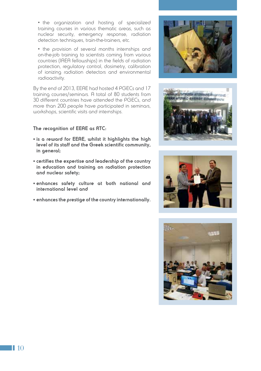• the organization and hosting of specialized training courses in various thematic areas, such as nuclear security, emergency response, radiation detection techniques, train-the-trainers, etc.

• the provision of several months internships and on-the-job training to scientists coming from various countries (IAEA fellowships) in the fields of radiation protection, regulatory control, dosimetry, calibration of ionizing radiation detectors and environmental radioactivity.

By the end of 2013, EEAE had hosted 4 PGECs and 17 training courses/seminars. A total of 80 students from 30 different countries have attended the PGECs, and more than 200 people have participated in seminars, workshops, scientific visits and internships.

# **The recognition of EEAE as RTC:**

- **• is a reward for EEAE, whilst it highlights the high level of its staff and the Greek scientific community, in general;**
- **• certifies the expertise and leadership of the country in education and training on radiation protection and nuclear safety;**
- **• enhances safety culture at both national and international level and**
- **• enhances the prestige of the country internationally.**